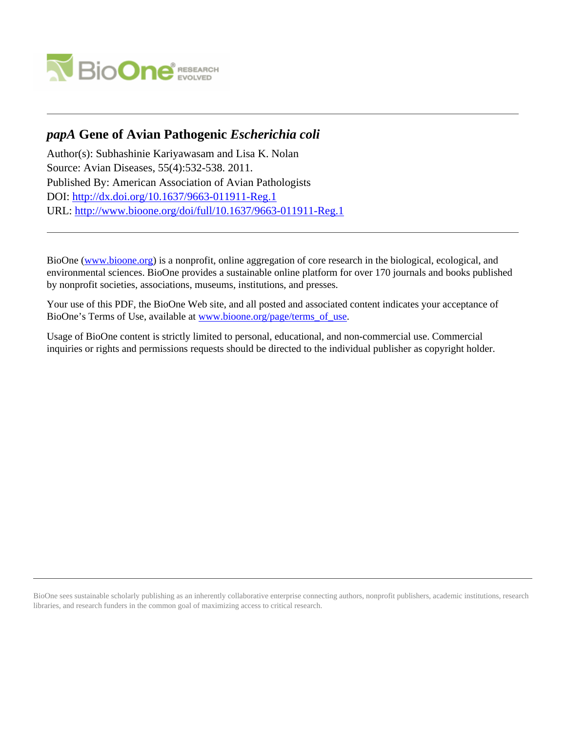

# *papA* **Gene of Avian Pathogenic** *Escherichia coli*

Author(s): Subhashinie Kariyawasam and Lisa K. Nolan Source: Avian Diseases, 55(4):532-538. 2011. Published By: American Association of Avian Pathologists DOI:<http://dx.doi.org/10.1637/9663-011911-Reg.1> URL: <http://www.bioone.org/doi/full/10.1637/9663-011911-Reg.1>

BioOne [\(www.bioone.org\)](http://www.bioone.org) is a nonprofit, online aggregation of core research in the biological, ecological, and environmental sciences. BioOne provides a sustainable online platform for over 170 journals and books published by nonprofit societies, associations, museums, institutions, and presses.

Your use of this PDF, the BioOne Web site, and all posted and associated content indicates your acceptance of BioOne's Terms of Use, available at [www.bioone.org/page/terms\\_of\\_use.](http://www.bioone.org/page/terms_of_use)

Usage of BioOne content is strictly limited to personal, educational, and non-commercial use. Commercial inquiries or rights and permissions requests should be directed to the individual publisher as copyright holder.

BioOne sees sustainable scholarly publishing as an inherently collaborative enterprise connecting authors, nonprofit publishers, academic institutions, research libraries, and research funders in the common goal of maximizing access to critical research.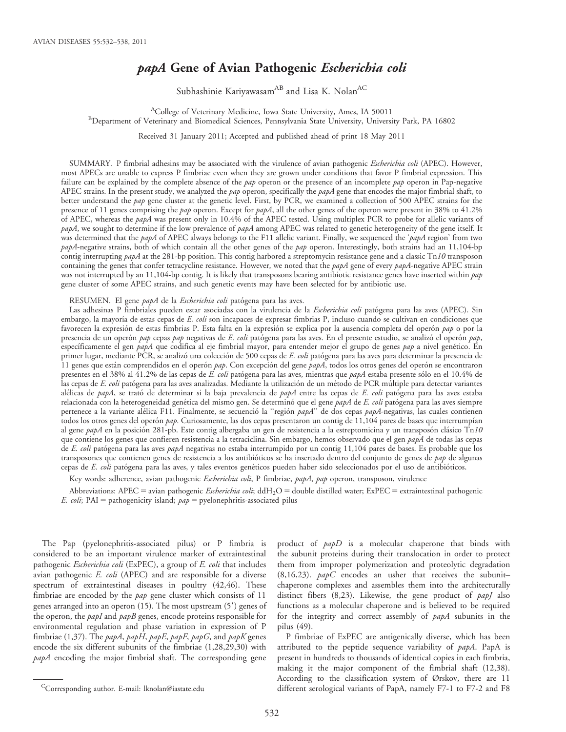## papA Gene of Avian Pathogenic Escherichia coli

Subhashinie Kariyawasam<sup>AB</sup> and Lisa K. Nolan<sup>AC</sup>

<sup>A</sup>College of Veterinary Medicine, Iowa State University, Ames, IA 50011<br><sup>B</sup>Department of Veterinary and Biomedical Sciences, Pennsylvania State University, Universi <sup>B</sup>Department of Veterinary and Biomedical Sciences, Pennsylvania State University, University Park, PA 16802

Received 31 January 2011; Accepted and published ahead of print 18 May 2011

SUMMARY. P fimbrial adhesins may be associated with the virulence of avian pathogenic Escherichia coli (APEC). However, most APECs are unable to express P fimbriae even when they are grown under conditions that favor P fimbrial expression. This failure can be explained by the complete absence of the  $pap$  operon or the presence of an incomplete  $pap$  operon in Pap-negative APEC strains. In the present study, we analyzed the  $pap$  operon, specifically the  $papA$  gene that encodes the major fimbrial shaft, to better understand the pap gene cluster at the genetic level. First, by PCR, we examined a collection of 500 APEC strains for the presence of 11 genes comprising the pap operon. Except for papA, all the other genes of the operon were present in 38% to 41.2% of APEC, whereas the papA was present only in 10.4% of the APEC tested. Using multiplex PCR to probe for allelic variants of papA, we sought to determine if the low prevalence of papA among APEC was related to genetic heterogeneity of the gene itself. It was determined that the papA of APEC always belongs to the F11 allelic variant. Finally, we sequenced the 'papA region' from two papA-negative strains, both of which contain all the other genes of the pap operon. Interestingly, both strains had an 11,104-bp contig interrupting  $papA$  at the 281-bp position. This contig harbored a streptomycin resistance gene and a classic Tn10 transposon containing the genes that confer tetracycline resistance. However, we noted that the  $papA$  gene of every  $papA$ -negative APEC strain was not interrupted by an 11,104-bp contig. It is likely that transposons bearing antibiotic resistance genes have inserted within pap gene cluster of some APEC strains, and such genetic events may have been selected for by antibiotic use.

RESUMEN. El gene papA de la Escherichia coli patógena para las aves.

Las adhesinas P fimbriales pueden estar asociadas con la virulencia de la Escherichia coli patógena para las aves (APEC). Sin embargo, la mayoría de estas cepas de E. coli son incapaces de expresar fimbrias P, incluso cuando se cultivan en condiciones que favorecen la expresión de estas fimbrias P. Esta falta en la expresión se explica por la ausencia completa del operón pap o por la presencia de un operón pap cepas pap negativas de E. coli patógena para las aves. En el presente estudio, se analizó el operón pap, específicamente el gen papA que codifica al eje fimbrial mayor, para entender mejor el grupo de genes pap a nivel genético. En primer lugar, mediante PCR, se analizó una colección de 500 cepas de E. coli patógena para las aves para determinar la presencia de 11 genes que están comprendidos en el operón pap. Con excepción del gene papA, todos los otros genes del operón se encontraron presentes en el 38% al 41.2% de las cepas de E. coli patógena para las aves, mientras que papA estaba presente sólo en el 10.4% de las cepas de E. coli patógena para las aves analizadas. Mediante la utilización de un método de PCR múltiple para detectar variantes alélicas de papA, se trató de determinar si la baja prevalencia de papA entre las cepas de E. coli patógena para las aves estaba relacionada con la heterogeneidad genética del mismo gen. Se determinó que el gene papA de E. coli patógena para las aves siempre pertenece a la variante alélica F11. Finalmente, se secuenció la "región papA" de dos cepas papA-negativas, las cuales contienen todos los otros genes del operón pap. Curiosamente, las dos cepas presentaron un contig de 11,104 pares de bases que interrumpían al gene papA en la posición 281-pb. Este contig albergaba un gen de resistencia a la estreptomicina y un transposón clásico Tn10 que contiene los genes que confieren resistencia a la tetraciclina. Sin embargo, hemos observado que el gen papA de todas las cepas de E. coli patógena para las aves papA negativas no estaba interrumpido por un contig 11,104 pares de bases. Es probable que los transposones que contienen genes de resistencia a los antibióticos se ha insertado dentro del conjunto de genes de pap de algunas cepas de E. coli patógena para las aves, y tales eventos genéticos pueden haber sido seleccionados por el uso de antibióticos.

Key words: adherence, avian pathogenic Escherichia coli, P fimbriae, papA, pap operon, transposon, virulence

Abbreviations: APEC = avian pathogenic Escherichia coli; ddH<sub>2</sub>O = double distilled water; ExPEC = extraintestinal pathogenic *E. coli*; PAI = pathogenicity island;  $pap$  = pyelonephritis-associated pilus

The Pap (pyelonephritis-associated pilus) or P fimbria is considered to be an important virulence marker of extraintestinal pathogenic Escherichia coli (ExPEC), a group of E. coli that includes avian pathogenic E. coli (APEC) and are responsible for a diverse spectrum of extraintestinal diseases in poultry (42,46). These fimbriae are encoded by the  $pap$  gene cluster which consists of  $11$ genes arranged into an operon  $(15)$ . The most upstream  $(5')$  genes of the operon, the *papI* and *papB* genes, encode proteins responsible for environmental regulation and phase variation in expression of P fimbriae (1,37). The papA, papH, papE, papF, papG, and papK genes encode the six different subunits of the fimbriae (1,28,29,30) with papA encoding the major fimbrial shaft. The corresponding gene

P fimbriae of ExPEC are antigenically diverse, which has been attributed to the peptide sequence variability of papA. PapA is present in hundreds to thousands of identical copies in each fimbria, making it the major component of the fimbrial shaft (12,38). According to the classification system of Ørskov, there are 11  ${}^{\text{C}}$ Corresponding author. E-mail: lknolan@iastate.edu different serological variants of PapA, namely F7-1 to F7-2 and F8

product of papD is a molecular chaperone that binds with the subunit proteins during their translocation in order to protect them from improper polymerization and proteolytic degradation (8,16,23).  $papC$  encodes an usher that receives the subunitchaperone complexes and assembles them into the architecturally distinct fibers (8,23). Likewise, the gene product of papJ also functions as a molecular chaperone and is believed to be required for the integrity and correct assembly of papA subunits in the pilus (49).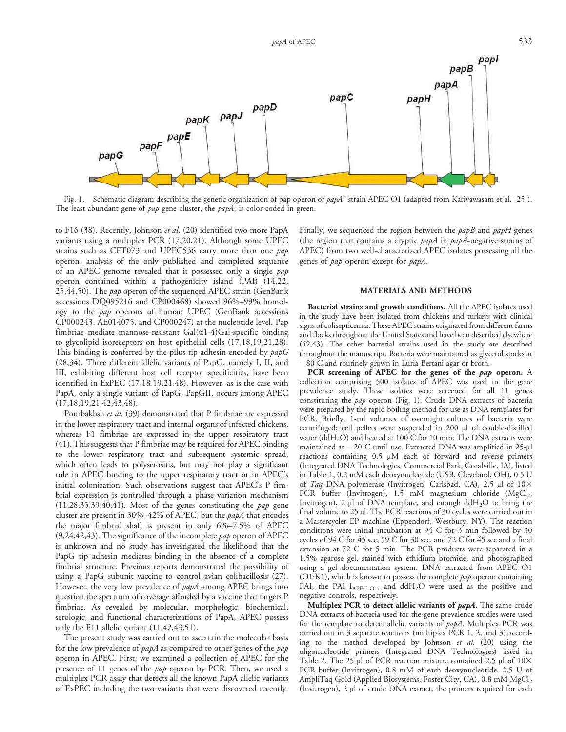

Fig. 1. Schematic diagram describing the genetic organization of pap operon of  $papA^+$  strain APEC O1 (adapted from Kariyawasam et al. [25]). The least-abundant gene of pap gene cluster, the papA, is color-coded in green.

to F16 (38). Recently, Johnson et al. (20) identified two more PapA variants using a multiplex PCR (17,20,21). Although some UPEC strains such as CFT073 and UPEC536 carry more than one pap operon, analysis of the only published and completed sequence of an APEC genome revealed that it possessed only a single pap operon contained within a pathogenicity island (PAI) (14,22, 25,44,50). The *pap* operon of the sequenced APEC strain (GenBank accessions DQ095216 and CP000468) showed 96%–99% homology to the pap operons of human UPEC (GenBank accessions CP000243, AE014075, and CP000247) at the nucleotide level. Pap fimbriae mediate mannose-resistant  $Gal(\alpha 1-4) Gal$ -specific binding to glycolipid isoreceptors on host epithelial cells (17,18,19,21,28). This binding is conferred by the pilus tip adhesin encoded by  $papG$ (28,34). Three different allelic variants of PapG, namely I, II, and III, exhibiting different host cell receptor specificities, have been identified in ExPEC (17,18,19,21,48). However, as is the case with PapA, only a single variant of PapG, PapGII, occurs among APEC (17,18,19,21,42,43,48).

Pourbakhsh et al. (39) demonstrated that P fimbriae are expressed in the lower respiratory tract and internal organs of infected chickens, whereas F1 fimbriae are expressed in the upper respiratory tract (41). This suggests that P fimbriae may be required for APEC binding to the lower respiratory tract and subsequent systemic spread, which often leads to polyserositis, but may not play a significant role in APEC binding to the upper respiratory tract or in APEC's initial colonization. Such observations suggest that APEC's P fimbrial expression is controlled through a phase variation mechanism  $(11,28,35,39,40,41)$ . Most of the genes constituting the *pap* gene cluster are present in 30%–42% of APEC, but the papA that encodes the major fimbrial shaft is present in only 6%–7.5% of APEC  $(9,24,42,43)$ . The significance of the incomplete pap operon of APEC is unknown and no study has investigated the likelihood that the PapG tip adhesin mediates binding in the absence of a complete fimbrial structure. Previous reports demonstrated the possibility of using a PapG subunit vaccine to control avian colibacillosis (27). However, the very low prevalence of papA among APEC brings into question the spectrum of coverage afforded by a vaccine that targets P fimbriae. As revealed by molecular, morphologic, biochemical, serologic, and functional characterizations of PapA, APEC possess only the F11 allelic variant (11,42,43,51).

The present study was carried out to ascertain the molecular basis for the low prevalence of papA as compared to other genes of the pap operon in APEC. First, we examined a collection of APEC for the presence of 11 genes of the *pap* operon by PCR. Then, we used a multiplex PCR assay that detects all the known PapA allelic variants of ExPEC including the two variants that were discovered recently.

Finally, we sequenced the region between the papB and papH genes (the region that contains a cryptic  $papA$  in  $papA$ -negative strains of APEC) from two well-characterized APEC isolates possessing all the genes of pap operon except for papA.

### MATERIALS AND METHODS

Bacterial strains and growth conditions. All the APEC isolates used in the study have been isolated from chickens and turkeys with clinical signs of colisepticemia. These APEC strains originated from different farms and flocks throughout the United States and have been described elsewhere (42,43). The other bacterial strains used in the study are described throughout the manuscript. Bacteria were maintained as glycerol stocks at  $-80$  C and routinely grown in Luria-Bertani agar or broth.

PCR screening of APEC for the genes of the pap operon. A collection comprising 500 isolates of APEC was used in the gene prevalence study. These isolates were screened for all 11 genes constituting the pap operon (Fig. 1). Crude DNA extracts of bacteria were prepared by the rapid boiling method for use as DNA templates for PCR. Briefly, 1-ml volumes of overnight cultures of bacteria were centrifuged; cell pellets were suspended in 200 µl of double-distilled water (ddH<sub>2</sub>O) and heated at 100 C for 10 min. The DNA extracts were maintained at  $-20$  C until use. Extracted DNA was amplified in 25-µl reactions containing 0.5 µM each of forward and reverse primers (Integrated DNA Technologies, Commercial Park, Coralville, IA), listed in Table 1, 0.2 mM each deoxynucleotide (USB, Cleveland, OH), 0.5 U of Taq DNA polymerase (Invitrogen, Carlsbad, CA), 2.5 µl of  $10\times$ PCR buffer (Invitrogen), 1.5 mM magnesium chloride (MgCl<sub>2</sub>; Invitrogen), 2  $\mu$ l of DNA template, and enough ddH<sub>2</sub>O to bring the final volume to 25 µl. The PCR reactions of 30 cycles were carried out in a Mastercycler EP machine (Eppendorf, Westbury, NY). The reaction conditions were initial incubation at 94 C for 3 min followed by 30 cycles of 94 C for 45 sec, 59 C for 30 sec, and 72 C for 45 sec and a final extension at 72 C for 5 min. The PCR products were separated in a 1.5% agarose gel, stained with ethidium bromide, and photographed using a gel documentation system. DNA extracted from APEC O1  $(O1:K1)$ , which is known to possess the complete *pap* operon containing PAI, the PAI  $I_{\text{APEC-O1}}$ , and  $\text{ddH}_2\text{O}$  were used as the positive and negative controls, respectively.

Multiplex PCR to detect allelic variants of papA. The same crude DNA extracts of bacteria used for the gene prevalence studies were used for the template to detect allelic variants of papA. Multiplex PCR was carried out in 3 separate reactions (multiplex PCR 1, 2, and 3) according to the method developed by Johnson et al. (20) using the oligonucleotide primers (Integrated DNA Technologies) listed in Table 2. The 25  $\mu$ l of PCR reaction mixture contained 2.5  $\mu$ l of 10 $\times$ PCR buffer (Invitrogen), 0.8 mM of each deoxynucleotide, 2.5 U of AmpliTaq Gold (Applied Biosystems, Foster City, CA), 0.8 mM  ${ {\rm MgCl}_2}$ (Invitrogen), 2 µl of crude DNA extract, the primers required for each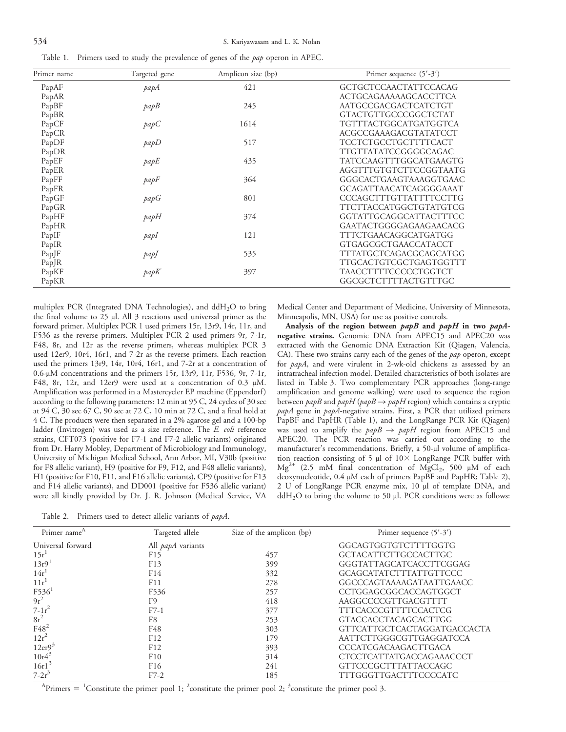| Table 1. Primers used to study the prevalence of genes of the <i>pap</i> operon in APEC |  |  |  |  |  |  |
|-----------------------------------------------------------------------------------------|--|--|--|--|--|--|
|-----------------------------------------------------------------------------------------|--|--|--|--|--|--|

| Primer name | Targeted gene | Amplicon size (bp) | Primer sequence $(5'$ -3')    |
|-------------|---------------|--------------------|-------------------------------|
| PapAF       | papA          | 421                | <b>GCTGCTCCAACTATTCCACAG</b>  |
| PapAR       |               |                    | <b>ACTGCAGAAAAAGCACCTTCA</b>  |
| PapBF       | papB          | 245                | AATGCCGACGACTCATCTGT          |
| PapBR       |               |                    | GTACTGTTGCCCGGCTCTAT          |
| PapCF       | papC          | 1614               | TGTTTACTGGCATGATGGTCA         |
| PapCR       |               |                    | ACGCCGAAAGACGTATATCCT         |
| PapDF       | papD          | 517                | TCCTCTGCCTGCTTTTCACT          |
| PapDR       |               |                    | TTGTTATATCCGGGGCAGAC          |
| PapEF       | papE          | 435                | TATCCAAGTTTGGCATGAAGTG        |
| PapER       |               |                    | AGGTTTGTGTCTTCCGGTAATG        |
| PapFF       | papF          | 364                | GGGCACTGAAGTAAAGGTGAAC        |
| PapFR       |               |                    | GCAGATTAACATCAGGGGAAAT        |
| PapGF       | papG          | 801                | <b>CCCAGCTTTGTTATTTTCCTTG</b> |
| PapGR       |               |                    | TTCTTACCATGGCTGTATGTCG        |
| PapHF       | papH          | 374                | GGTATTGCAGGCATTACTTTCC        |
| PapHR       |               |                    | GAATACTGGGGAGAAGAACACG        |
| PapIF       | papI          | 121                | TTTCTGAACAGGCATGATGG          |
| PapIR       |               |                    | <b>GTGAGCGCTGAACCATACCT</b>   |
| PapJF       | papJ          | 535                | TTTATGCTCAGACGCAGCATGG        |
| PapJR       |               |                    | TTGCACTGTCGCTGAGTGGTTT        |
| PapKF       | papK          | 397                | TAACCTTTTCCCCCTGGTCT          |
| PapKR       |               |                    | GGCGCTCTTTTACTGTTTGC          |

multiplex PCR (Integrated DNA Technologies), and  $ddH_2O$  to bring the final volume to  $25 \mu$ l. All 3 reactions used universal primer as the forward primer. Multiplex PCR 1 used primers 15r, 13r9, 14r, 11r, and F536 as the reverse primers. Multiplex PCR 2 used primers 9r, 7-1r, F48, 8r, and 12r as the reverse primers, whereas multiplex PCR 3 used 12er9, 10r4, 16r1, and 7-2r as the reverse primers. Each reaction used the primers 13r9, 14r, 10r4, 16r1, and 7-2r at a concentration of  $0.6$ -µM concentrations and the primers 15r, 13r9, 11r, F536, 9r, 7-1r, F48, 8r, 12r, and 12er9 were used at a concentration of 0.3 µM. Amplification was performed in a Mastercycler EP machine (Eppendorf) according to the following parameters: 12 min at 95 C, 24 cycles of 30 sec at 94 C, 30 sec 67 C, 90 sec at 72 C, 10 min at 72 C, and a final hold at 4 C. The products were then separated in a 2% agarose gel and a 100-bp ladder (Invitrogen) was used as a size reference. The E. coli reference strains, CFT073 (positive for F7-1 and F7-2 allelic variants) originated from Dr. Harry Mobley, Department of Microbiology and Immunology, University of Michigan Medical School, Ann Arbor, MI, V30b (positive for F8 allelic variant), H9 (positive for F9, F12, and F48 allelic variants), H1 (positive for F10, F11, and F16 allelic variants), CP9 (positive for F13 and F14 allelic variants), and DD001 (positive for F536 allelic variant) were all kindly provided by Dr. J. R. Johnson (Medical Service, VA Medical Center and Department of Medicine, University of Minnesota, Minneapolis, MN, USA) for use as positive controls.

Analysis of the region between papB and papH in two papAnegative strains. Genomic DNA from APEC15 and APEC20 was extracted with the Genomic DNA Extraction Kit (Qiagen, Valencia, CA). These two strains carry each of the genes of the pap operon, except for papA, and were virulent in 2-wk-old chickens as assessed by an intratracheal infection model. Detailed characteristics of both isolates are listed in Table 3. Two complementary PCR approaches (long-range amplification and genome walking) were used to sequence the region between  $papB$  and  $papH$  ( $papB \rightarrow papH$  region) which contains a cryptic papA gene in papA-negative strains. First, a PCR that utilized primers PapBF and PapHR (Table 1), and the LongRange PCR Kit (Qiagen) was used to amplify the  $papB \rightarrow papH$  region from APEC15 and APEC20. The PCR reaction was carried out according to the manufacturer's recommendations. Briefly, a 50-µl volume of amplification reaction consisting of 5  $\mu$ l of 10 $\times$  LongRange PCR buffer with  $Mg^{2+}$  (2.5 mM final concentration of  $MgCl_2$ , 500 µM of each deoxynucleotide, 0.4 µM each of primers PapBF and PapHR; Table 2), 2 U of LongRange PCR enzyme mix, 10 µl of template DNA, and  $ddH<sub>2</sub>O$  to bring the volume to 50  $\mu$ l. PCR conditions were as follows:

Table 2. Primers used to detect allelic variants of *papA*.

| Primer name <sup>A</sup> | Targeted allele          | Size of the amplicon (bp) | Primer sequence $(5'$ -3')    |
|--------------------------|--------------------------|---------------------------|-------------------------------|
| Universal forward        | All <i>papA</i> variants |                           | GGCAGTGGTGTCTTTTGGTG          |
| 15r <sup>1</sup>         | F15                      | 457                       | <b>GCTACATTCTTGCCACTTGC</b>   |
| 13r9                     | F13                      | 399                       | GGGTATTAGCATCACCTTCGGAG       |
| 14r                      | F14                      | 332                       | <b>GCAGCATATCTTTATTGTTCCC</b> |
| 11r                      | F11                      | 278                       | GGCCCAGTAAAAGATAATTGAACC      |
| $F536$ <sup>1</sup>      | F536                     | 257                       | CCTGGAGCGGCACCAGTGGCT         |
| $9r^2$                   | F9                       | 418                       | AAGGCCCCGTTGACGTTTT           |
| $7 - 1r^2$               | $F7-1$                   | 377                       | <b>TTTCACCCGTTTTCCACTCG</b>   |
| $8r^2$                   | F8                       | 253                       | <b>GTACCACCTACAGCACTTGG</b>   |
| $F48^2$                  | F48                      | 303                       | GTTCATTGCTCACTAGGATGACCACTA   |
| $12r^2$                  | F12                      | 179                       | AATTCTTGGGCGTTGAGGATCCA       |
| 12er <sup>3</sup>        | F12                      | 393                       | <b>CCCATCGACAAGACTTGACA</b>   |
| $10r4^3$                 | F10                      | 314                       | CTCCTCATTATGACCAGAAACCCT      |
| 16r1 <sup>3</sup>        | F <sub>16</sub>          | 241                       | GTTCCCGCTTTATTACCAGC          |
| $7 - 2r^3$               | $F7-2$                   | 185                       | TTTGGGTTGACTTTCCCCATC         |

<sup>A</sup>Primers = <sup>1</sup>Constitute the primer pool 1; <sup>2</sup>constitute the primer pool 2; <sup>3</sup>constitute the primer pool 3.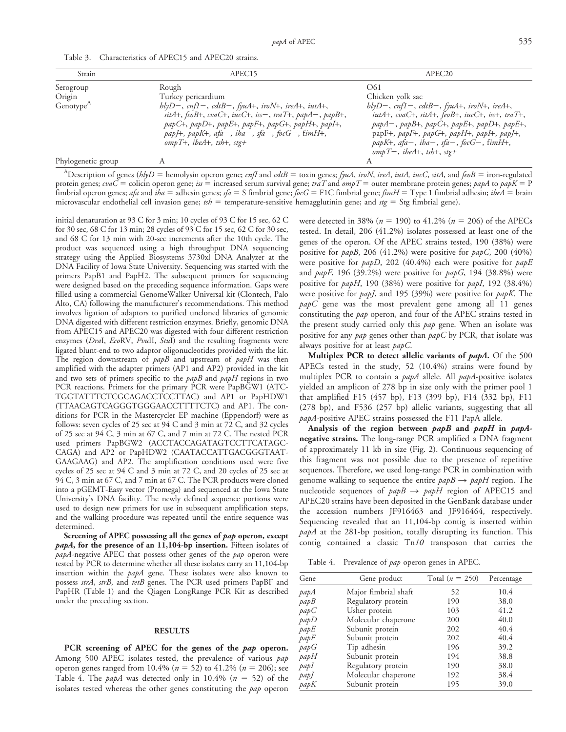| Strain                | APEC15                                                                                                                                                                                                                                            | APEC <sub>20</sub>                                                                                                                                                                                                                                                    |
|-----------------------|---------------------------------------------------------------------------------------------------------------------------------------------------------------------------------------------------------------------------------------------------|-----------------------------------------------------------------------------------------------------------------------------------------------------------------------------------------------------------------------------------------------------------------------|
| Serogroup             | Rough                                                                                                                                                                                                                                             | O61                                                                                                                                                                                                                                                                   |
| Origin                | Turkey pericardium                                                                                                                                                                                                                                | Chicken yolk sac                                                                                                                                                                                                                                                      |
| Genotype <sup>A</sup> | $hlyD-$ , cnf1-, cdtB-, fyuA+, iroN+, ireA+, iutA+,<br>sitA+, feoB+, cvaC+, iucC+, iss-, traT+, papA-, papB+,<br>papC+, papD+, papE+, papF+, papG+, papH+, papI+,<br>papJ+, papK+, afa-, iha-, sfa-, focG-, fimH+,<br>$ompT+$ , ibeA+, tsh+, stg+ | $hlyD-$ , cnf1-, cdtB-, fyuA+, iroN+, ireA+,<br>iutA+, cvaC+, sitA+, feoB+, iucC+, iss+, traT+,<br>$papA-,$ papB+, papC+, papE+, papD+, papE+,<br>papF+, papF+, papG+, papH+, papI+, papJ+,<br>papK+, $afa-, iba-, sfa-, focG-, fimH+,$<br>$ompT-, ibeA+, tsh+, stg+$ |
| Phylogenetic group    |                                                                                                                                                                                                                                                   |                                                                                                                                                                                                                                                                       |

Table 3. Characteristics of APEC15 and APEC20 strains.

<sup>A</sup>Description of genes (hlyD = hemolysin operon gene; cnfI and cdtB = toxin genes; fyuA, iroN, ireA, iutA, iucC, sitA, and feoB = iron-regulated protein genes;  $\text{c}vaC$  = colicin operon gene; iss = increased serum survival gene; traT and  $\text{om}pT$  = outer membrane protein genes;  $\text{p}apA$  to  $\text{p}a pK$  = P fimbrial operon genes; afa and iha = adhesin genes; sfa = S fimbrial gene; focG = F1C fimbrial gene; fimH = Type 1 fimbrial adhesin; ibeA = brain microvascular endothelial cell invasion gene;  $tsh =$  temperature-sensitive hemagglutinin gene; and  $stg =$  Stg fimbrial gene).

initial denaturation at 93 C for 3 min; 10 cycles of 93 C for 15 sec, 62 C for 30 sec, 68 C for 13 min; 28 cycles of 93 C for 15 sec, 62 C for 30 sec, and 68 C for 13 min with 20-sec increments after the 10th cycle. The product was sequenced using a high throughput DNA sequencing strategy using the Applied Biosystems 3730xl DNA Analyzer at the DNA Facility of Iowa State University. Sequencing was started with the primers PapB1 and PapH2. The subsequent primers for sequencing were designed based on the preceding sequence information. Gaps were filled using a commercial GenomeWalker Universal kit (Clontech, Palo Alto, CA) following the manufacturer's recommendations. This method involves ligation of adaptors to purified uncloned libraries of genomic DNA digested with different restriction enzymes. Briefly, genomic DNA from APEC15 and APEC20 was digested with four different restriction enzymes (DraI, EcoRV, PvuII, StuI) and the resulting fragments were ligated blunt-end to two adaptor oligonucleotides provided with the kit. The region downstream of papB and upstream of papH was then amplified with the adapter primers (AP1 and AP2) provided in the kit and two sets of primers specific to the  $papB$  and  $papH$  regions in two PCR reactions. Primers for the primary PCR were PapBGW1 (ATC-TGGTATTTCTCGCAGACCTCCTTAC) and AP1 or PapHDW1 (TTAACAGTCAGGGTGGGAACCTTTTCTC) and AP1. The conditions for PCR in the Mastercycler EP machine (Eppendorf) were as follows: seven cycles of 25 sec at 94 C and 3 min at 72 C, and 32 cycles of 25 sec at 94 C, 3 min at 67 C, and 7 min at 72 C. The nested PCR used primers PapBGW2 (ACCTACCAGATAGTCCTTCATAGC-CAGA) and AP2 or PapHDW2 (CAATACCATTGACGGGTAAT-GAAGAAG) and AP2. The amplification conditions used were five cycles of 25 sec at 94 C and 3 min at 72 C, and 20 cycles of 25 sec at 94 C, 3 min at 67 C, and 7 min at 67 C. The PCR products were cloned into a pGEMT-Easy vector (Promega) and sequenced at the Iowa State University's DNA facility. The newly defined sequence portions were used to design new primers for use in subsequent amplification steps, and the walking procedure was repeated until the entire sequence was determined.

Screening of APEC possessing all the genes of pap operon, except  $papA$ , for the presence of an 11,104-bp insertion. Fifteen isolates of papA-negative APEC that possess other genes of the pap operon were tested by PCR to determine whether all these isolates carry an 11,104-bp insertion within the papA gene. These isolates were also known to possess strA, strB, and tetB genes. The PCR used primers PapBF and PapHR (Table 1) and the Qiagen LongRange PCR Kit as described under the preceding section.

#### RESULTS

PCR screening of APEC for the genes of the pap operon. Among 500 APEC isolates tested, the prevalence of various pap operon genes ranged from 10.4% ( $n = 52$ ) to 41.2% ( $n = 206$ ); see Table 4. The *papA* was detected only in 10.4% ( $n = 52$ ) of the isolates tested whereas the other genes constituting the pap operon were detected in 38% ( $n = 190$ ) to 41.2% ( $n = 206$ ) of the APECs tested. In detail, 206 (41.2%) isolates possessed at least one of the genes of the operon. Of the APEC strains tested, 190 (38%) were positive for  $papB$ , 206 (41.2%) were positive for  $papC$ , 200 (40%) were positive for  $papD$ , 202 (40.4%) each were positive for  $papE$ and  $papF$ , 196 (39.2%) were positive for  $papG$ , 194 (38.8%) were positive for *papH*, 190 (38%) were positive for *papI*, 192 (38.4%) were positive for *papJ*, and 195 (39%) were positive for *papK*. The  $papC$  gene was the most prevalent gene among all 11 genes constituting the pap operon, and four of the APEC strains tested in the present study carried only this pap gene. When an isolate was positive for any pap genes other than papC by PCR, that isolate was always positive for at least papC.

Multiplex PCR to detect allelic variants of papA. Of the 500 APECs tested in the study, 52 (10.4%) strains were found by multiplex PCR to contain a papA allele. All papA-positive isolates yielded an amplicon of 278 bp in size only with the primer pool 1 that amplified F15 (457 bp), F13 (399 bp), F14 (332 bp), F11 (278 bp), and F536 (257 bp) allelic variants, suggesting that all papA-positive APEC strains possessed the F11 PapA allele.

Analysis of the region between papB and papH in papAnegative strains. The long-range PCR amplified a DNA fragment of approximately 11 kb in size (Fig. 2). Continuous sequencing of this fragment was not possible due to the presence of repetitive sequences. Therefore, we used long-range PCR in combination with genome walking to sequence the entire  $papB \rightarrow papH$  region. The nucleotide sequences of  $papB \rightarrow papH$  region of APEC15 and APEC20 strains have been deposited in the GenBank database under the accession numbers JF916463 and JF916464, respectively. Sequencing revealed that an 11,104-bp contig is inserted within papA at the 281-bp position, totally disrupting its function. This contig contained a classic  $Tn10$  transposon that carries the

Table 4. Prevalence of pap operon genes in APEC.

| Gene | Gene product         | Total $(n = 250)$ | Percentage |
|------|----------------------|-------------------|------------|
| papA | Major fimbrial shaft | 52                | 10.4       |
| papB | Regulatory protein   | 190               | 38.0       |
| papC | Usher protein        | 103               | 41.2       |
| papD | Molecular chaperone  | 200               | 40.0       |
| papE | Subunit protein      | 202               | 40.4       |
| papF | Subunit protein      | 202               | 40.4       |
| papG | Tip adhesin          | 196               | 39.2       |
| papH | Subunit protein      | 194               | 38.8       |
| papl | Regulatory protein   | 190               | 38.0       |
| pap  | Molecular chaperone  | 192               | 38.4       |
| papK | Subunit protein      | 195               | 39.0       |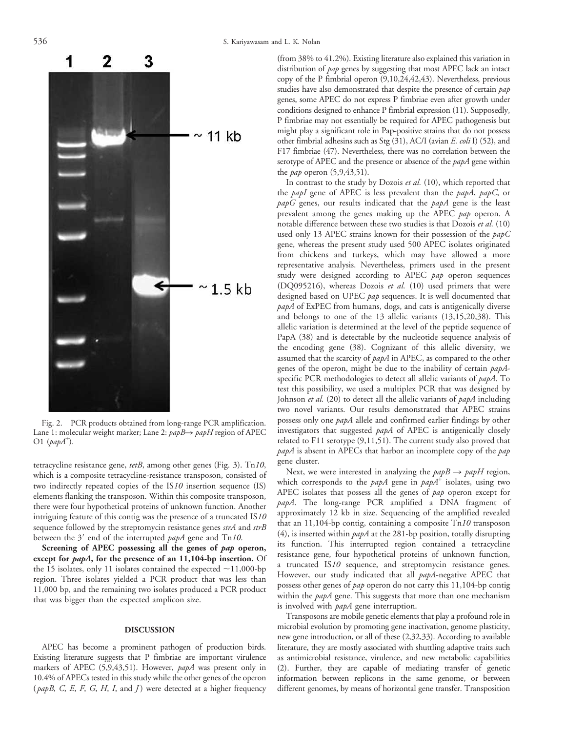

Fig. 2. PCR products obtained from long-range PCR amplification. Lane 1: molecular weight marker; Lane 2:  $papB \rightarrow papH$  region of APEC O1  $(papA^+).$ 

tetracycline resistance gene, tetB, among other genes (Fig. 3). Tn10, which is a composite tetracycline-resistance transposon, consisted of two indirectly repeated copies of the IS10 insertion sequence (IS) elements flanking the transposon. Within this composite transposon, there were four hypothetical proteins of unknown function. Another intriguing feature of this contig was the presence of a truncated IS10 sequence followed by the streptomycin resistance genes strA and strB between the  $3'$  end of the interrupted  $papA$  gene and Tn10.

Screening of APEC possessing all the genes of pap operon, except for *papA*, for the presence of an 11,104-bp insertion. Of the 15 isolates, only 11 isolates contained the expected  $\sim$ 11,000-bp region. Three isolates yielded a PCR product that was less than 11,000 bp, and the remaining two isolates produced a PCR product that was bigger than the expected amplicon size.

#### DISCUSSION

APEC has become a prominent pathogen of production birds. Existing literature suggests that P fimbriae are important virulence markers of APEC (5,9,43,51). However, papA was present only in 10.4% of APECs tested in this study while the other genes of the operon ( $papB$ , C, E, F, G, H, I, and J) were detected at a higher frequency (from 38% to 41.2%). Existing literature also explained this variation in distribution of pap genes by suggesting that most APEC lack an intact copy of the P fimbrial operon (9,10,24,42,43). Nevertheless, previous studies have also demonstrated that despite the presence of certain pap genes, some APEC do not express P fimbriae even after growth under conditions designed to enhance P fimbrial expression (11). Supposedly, P fimbriae may not essentially be required for APEC pathogenesis but might play a significant role in Pap-positive strains that do not possess other fimbrial adhesins such as Stg (31), AC/I (avian E. coli I) (52), and F17 fimbriae (47). Nevertheless, there was no correlation between the serotype of APEC and the presence or absence of the papA gene within the *pap* operon  $(5,9,43,51)$ .

In contrast to the study by Dozois et al. (10), which reported that the *papI* gene of APEC is less prevalent than the *papA*, *papC*, or  $papG$  genes, our results indicated that the  $papA$  gene is the least prevalent among the genes making up the APEC pap operon. A notable difference between these two studies is that Dozois et al. (10) used only 13 APEC strains known for their possession of the  $papC$ gene, whereas the present study used 500 APEC isolates originated from chickens and turkeys, which may have allowed a more representative analysis. Nevertheless, primers used in the present study were designed according to APEC pap operon sequences (DQ095216), whereas Dozois et al. (10) used primers that were designed based on UPEC pap sequences. It is well documented that papA of ExPEC from humans, dogs, and cats is antigenically diverse and belongs to one of the 13 allelic variants (13,15,20,38). This allelic variation is determined at the level of the peptide sequence of PapA (38) and is detectable by the nucleotide sequence analysis of the encoding gene (38). Cognizant of this allelic diversity, we assumed that the scarcity of papA in APEC, as compared to the other genes of the operon, might be due to the inability of certain papAspecific PCR methodologies to detect all allelic variants of papA. To test this possibility, we used a multiplex PCR that was designed by Johnson et al. (20) to detect all the allelic variants of papA including two novel variants. Our results demonstrated that APEC strains possess only one papA allele and confirmed earlier findings by other investigators that suggested papA of APEC is antigenically closely related to F11 serotype (9,11,51). The current study also proved that papA is absent in APECs that harbor an incomplete copy of the pap gene cluster.

Next, we were interested in analyzing the  $papB \rightarrow papH$  region, which corresponds to the  $papA$  gene in  $papA^+$  isolates, using two APEC isolates that possess all the genes of pap operon except for papA. The long-range PCR amplified a DNA fragment of approximately 12 kb in size. Sequencing of the amplified revealed that an 11,104-bp contig, containing a composite Tn10 transposon (4), is inserted within  $papA$  at the 281-bp position, totally disrupting its function. This interrupted region contained a tetracycline resistance gene, four hypothetical proteins of unknown function, a truncated IS10 sequence, and streptomycin resistance genes. However, our study indicated that all *papA*-negative APEC that possess other genes of pap operon do not carry this 11,104-bp contig within the *papA* gene. This suggests that more than one mechanism is involved with *papA* gene interruption.

Transposons are mobile genetic elements that play a profound role in microbial evolution by promoting gene inactivation, genome plasticity, new gene introduction, or all of these (2,32,33). According to available literature, they are mostly associated with shuttling adaptive traits such as antimicrobial resistance, virulence, and new metabolic capabilities (2). Further, they are capable of mediating transfer of genetic information between replicons in the same genome, or between different genomes, by means of horizontal gene transfer. Transposition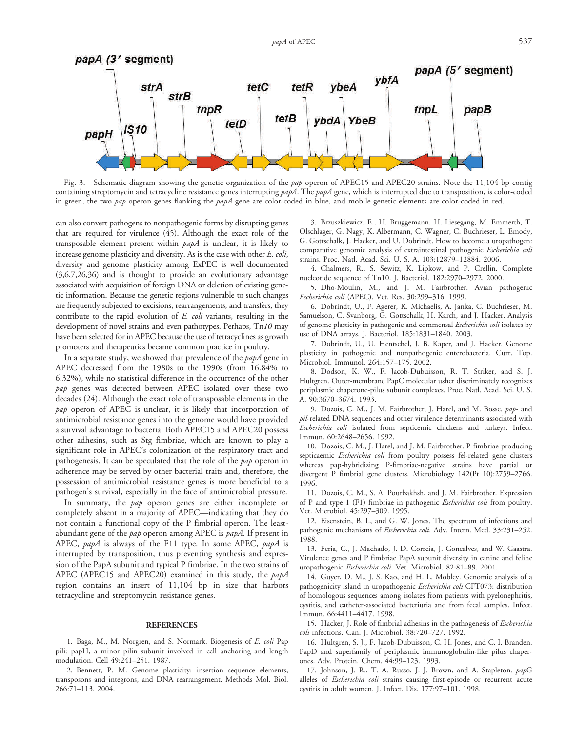

Fig. 3. Schematic diagram showing the genetic organization of the pap operon of APEC15 and APEC20 strains. Note the 11,104-bp contig containing streptomycin and tetracycline resistance genes interrupting papA. The papA gene, which is interrupted due to transposition, is color-coded in green, the two pap operon genes flanking the papA gene are color-coded in blue, and mobile genetic elements are color-coded in red.

can also convert pathogens to nonpathogenic forms by disrupting genes that are required for virulence (45). Although the exact role of the transposable element present within papA is unclear, it is likely to increase genome plasticity and diversity. As is the case with other E. coli, diversity and genome plasticity among ExPEC is well documented (3,6,7,26,36) and is thought to provide an evolutionary advantage associated with acquisition of foreign DNA or deletion of existing genetic information. Because the genetic regions vulnerable to such changes are frequently subjected to excisions, rearrangements, and transfers, they contribute to the rapid evolution of E. coli variants, resulting in the development of novel strains and even pathotypes. Perhaps, Tn10 may have been selected for in APEC because the use of tetracyclines as growth promoters and therapeutics became common practice in poultry.

In a separate study, we showed that prevalence of the papA gene in APEC decreased from the 1980s to the 1990s (from 16.84% to 6.32%), while no statistical difference in the occurrence of the other pap genes was detected between APEC isolated over these two decades (24). Although the exact role of transposable elements in the pap operon of APEC is unclear, it is likely that incorporation of antimicrobial resistance genes into the genome would have provided a survival advantage to bacteria. Both APEC15 and APEC20 possess other adhesins, such as Stg fimbriae, which are known to play a significant role in APEC's colonization of the respiratory tract and pathogenesis. It can be speculated that the role of the *pap* operon in adherence may be served by other bacterial traits and, therefore, the possession of antimicrobial resistance genes is more beneficial to a pathogen's survival, especially in the face of antimicrobial pressure.

In summary, the pap operon genes are either incomplete or completely absent in a majority of APEC—indicating that they do not contain a functional copy of the P fimbrial operon. The leastabundant gene of the pap operon among APEC is papA. If present in APEC, papA is always of the F11 type. In some APEC, papA is interrupted by transposition, thus preventing synthesis and expression of the PapA subunit and typical P fimbriae. In the two strains of APEC (APEC15 and APEC20) examined in this study, the papA region contains an insert of 11,104 bp in size that harbors tetracycline and streptomycin resistance genes.

#### REFERENCES

1. Baga, M., M. Norgren, and S. Normark. Biogenesis of E. coli Pap pili: papH, a minor pilin subunit involved in cell anchoring and length modulation. Cell 49:241–251. 1987.

2. Bennett, P. M. Genome plasticity: insertion sequence elements, transposons and integrons, and DNA rearrangement. Methods Mol. Biol. 266:71–113. 2004.

3. Brzuszkiewicz, E., H. Bruggemann, H. Liesegang, M. Emmerth, T. Olschlager, G. Nagy, K. Albermann, C. Wagner, C. Buchrieser, L. Emody, G. Gottschalk, J. Hacker, and U. Dobrindt. How to become a uropathogen: comparative genomic analysis of extraintestinal pathogenic Escherichia coli strains. Proc. Natl. Acad. Sci. U. S. A. 103:12879–12884. 2006.

4. Chalmers, R., S. Sewitz, K. Lipkow, and P. Crellin. Complete nucleotide sequence of Tn10. J. Bacteriol. 182:2970–2972. 2000.

5. Dho-Moulin, M., and J. M. Fairbrother. Avian pathogenic Escherichia coli (APEC). Vet. Res. 30:299–316. 1999.

6. Dobrindt, U., F. Agerer, K. Michaelis, A. Janka, C. Buchrieser, M. Samuelson, C. Svanborg, G. Gottschalk, H. Karch, and J. Hacker. Analysis of genome plasticity in pathogenic and commensal Escherichia coli isolates by use of DNA arrays. J. Bacteriol. 185:1831–1840. 2003.

7. Dobrindt, U., U. Hentschel, J. B. Kaper, and J. Hacker. Genome plasticity in pathogenic and nonpathogenic enterobacteria. Curr. Top. Microbiol. Immunol. 264:157–175. 2002.

8. Dodson, K. W., F. Jacob-Dubuisson, R. T. Striker, and S. J. Hultgren. Outer-membrane PapC molecular usher discriminately recognizes periplasmic chaperone-pilus subunit complexes. Proc. Natl. Acad. Sci. U. S. A. 90:3670–3674. 1993.

9. Dozois, C. M., J. M. Fairbrother, J. Harel, and M. Bosse. pap- and pil-related DNA sequences and other virulence determinants associated with Escherichia coli isolated from septicemic chickens and turkeys. Infect. Immun. 60:2648–2656. 1992.

10. Dozois, C. M., J. Harel, and J. M. Fairbrother. P-fimbriae-producing septicaemic Escherichia coli from poultry possess fel-related gene clusters whereas pap-hybridizing P-fimbriae-negative strains have partial or divergent P fimbrial gene clusters. Microbiology 142(Pt 10):2759–2766. 1996.

11. Dozois, C. M., S. A. Pourbakhsh, and J. M. Fairbrother. Expression of P and type 1 (F1) fimbriae in pathogenic *Escherichia coli* from poultry. Vet. Microbiol. 45:297–309. 1995.

12. Eisenstein, B. I., and G. W. Jones. The spectrum of infections and pathogenic mechanisms of Escherichia coli. Adv. Intern. Med. 33:231-252. 1988.

13. Feria, C., J. Machado, J. D. Correia, J. Goncalves, and W. Gaastra. Virulence genes and P fimbriae PapA subunit diversity in canine and feline uropathogenic Escherichia coli. Vet. Microbiol. 82:81-89. 2001.

14. Guyer, D. M., J. S. Kao, and H. L. Mobley. Genomic analysis of a pathogenicity island in uropathogenic Escherichia coli CFT073: distribution of homologous sequences among isolates from patients with pyelonephritis, cystitis, and catheter-associated bacteriuria and from fecal samples. Infect. Immun. 66:4411–4417. 1998.

15. Hacker, J. Role of fimbrial adhesins in the pathogenesis of *Escherichia* coli infections. Can. J. Microbiol. 38:720–727. 1992.

16. Hultgren, S. J., F. Jacob-Dubuisson, C. H. Jones, and C. I. Branden. PapD and superfamily of periplasmic immunoglobulin-like pilus chaperones. Adv. Protein. Chem. 44:99–123. 1993.

17. Johnson, J. R., T. A. Russo, J. J. Brown, and A. Stapleton. papG alleles of *Escherichia coli* strains causing first-episode or recurrent acute cystitis in adult women. J. Infect. Dis. 177:97–101. 1998.